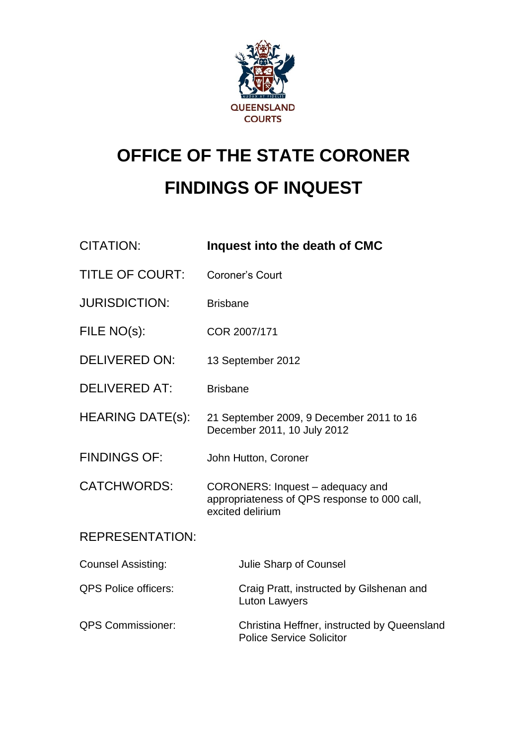

# **OFFICE OF THE STATE CORONER FINDINGS OF INQUEST**

| <b>CITATION:</b>            | Inquest into the death of CMC                                                                        |
|-----------------------------|------------------------------------------------------------------------------------------------------|
| <b>TITLE OF COURT:</b>      | <b>Coroner's Court</b>                                                                               |
| <b>JURISDICTION:</b>        | <b>Brisbane</b>                                                                                      |
| FILE NO(s):                 | COR 2007/171                                                                                         |
| <b>DELIVERED ON:</b>        | 13 September 2012                                                                                    |
| <b>DELIVERED AT:</b>        | <b>Brisbane</b>                                                                                      |
| <b>HEARING DATE(s):</b>     | 21 September 2009, 9 December 2011 to 16<br>December 2011, 10 July 2012                              |
| <b>FINDINGS OF:</b>         | John Hutton, Coroner                                                                                 |
| <b>CATCHWORDS:</b>          | CORONERS: Inquest - adequacy and<br>appropriateness of QPS response to 000 call,<br>excited delirium |
| <b>REPRESENTATION:</b>      |                                                                                                      |
| <b>Counsel Assisting:</b>   | Julie Sharp of Counsel                                                                               |
| <b>QPS Police officers:</b> | Craig Pratt, instructed by Gilshenan and<br><b>Luton Lawyers</b>                                     |
| <b>QPS Commissioner:</b>    | Christina Heffner, instructed by Queensland<br><b>Police Service Solicitor</b>                       |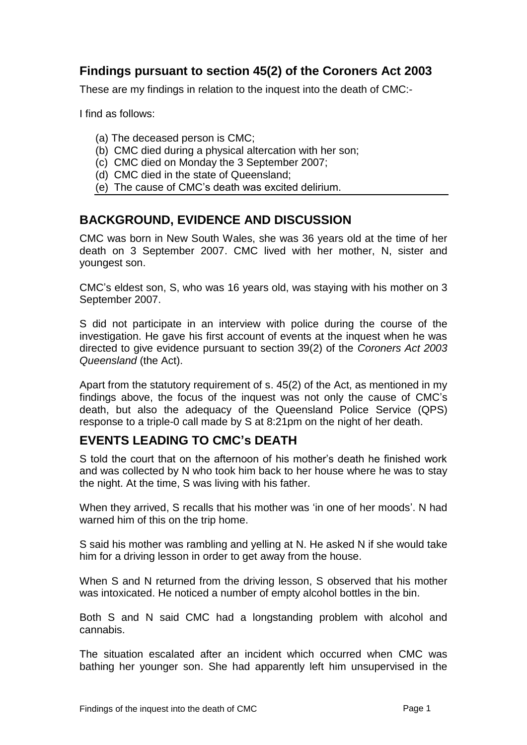## **Findings pursuant to section 45(2) of the Coroners Act 2003**

These are my findings in relation to the inquest into the death of CMC:-

I find as follows:

- (a) The deceased person is CMC;
- (b) CMC died during a physical altercation with her son;
- (c) CMC died on Monday the 3 September 2007;
- (d) CMC died in the state of Queensland;
- (e) The cause of CMC's death was excited delirium.

#### **BACKGROUND, EVIDENCE AND DISCUSSION**

CMC was born in New South Wales, she was 36 years old at the time of her death on 3 September 2007. CMC lived with her mother, N, sister and youngest son.

CMC's eldest son, S, who was 16 years old, was staying with his mother on 3 September 2007.

S did not participate in an interview with police during the course of the investigation. He gave his first account of events at the inquest when he was directed to give evidence pursuant to section 39(2) of the *Coroners Act 2003 Queensland* (the Act).

Apart from the statutory requirement of s. 45(2) of the Act, as mentioned in my findings above, the focus of the inquest was not only the cause of CMC's death, but also the adequacy of the Queensland Police Service (QPS) response to a triple-0 call made by S at 8:21pm on the night of her death.

#### **EVENTS LEADING TO CMC's DEATH**

S told the court that on the afternoon of his mother's death he finished work and was collected by N who took him back to her house where he was to stay the night. At the time, S was living with his father.

When they arrived, S recalls that his mother was 'in one of her moods'. N had warned him of this on the trip home.

S said his mother was rambling and yelling at N. He asked N if she would take him for a driving lesson in order to get away from the house.

When S and N returned from the driving lesson, S observed that his mother was intoxicated. He noticed a number of empty alcohol bottles in the bin.

Both S and N said CMC had a longstanding problem with alcohol and cannabis.

The situation escalated after an incident which occurred when CMC was bathing her younger son. She had apparently left him unsupervised in the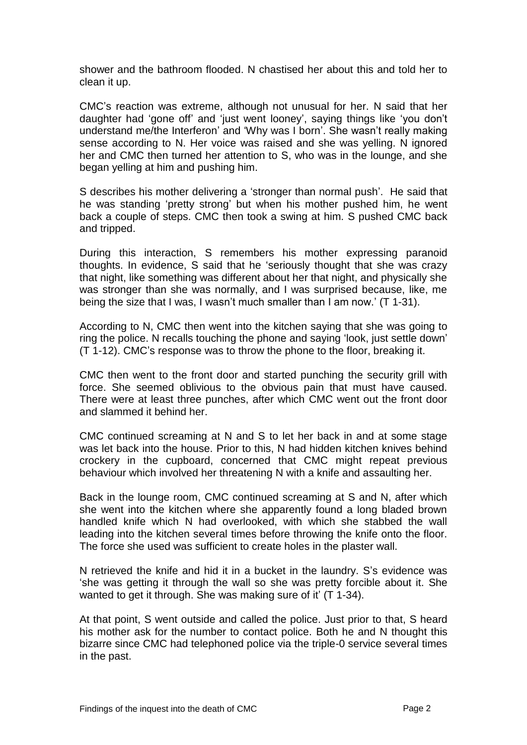shower and the bathroom flooded. N chastised her about this and told her to clean it up.

CMC's reaction was extreme, although not unusual for her. N said that her daughter had 'gone off' and 'just went looney', saying things like 'you don't understand me/the Interferon' and 'Why was I born'. She wasn't really making sense according to N. Her voice was raised and she was yelling. N ignored her and CMC then turned her attention to S, who was in the lounge, and she began yelling at him and pushing him.

S describes his mother delivering a 'stronger than normal push'.He said that he was standing 'pretty strong' but when his mother pushed him, he went back a couple of steps. CMC then took a swing at him. S pushed CMC back and tripped.

During this interaction, S remembers his mother expressing paranoid thoughts. In evidence, S said that he 'seriously thought that she was crazy that night, like something was different about her that night, and physically she was stronger than she was normally, and I was surprised because, like, me being the size that I was, I wasn't much smaller than I am now.' (T 1-31).

According to N, CMC then went into the kitchen saying that she was going to ring the police. N recalls touching the phone and saying 'look, just settle down' (T 1-12). CMC's response was to throw the phone to the floor, breaking it.

CMC then went to the front door and started punching the security grill with force. She seemed oblivious to the obvious pain that must have caused. There were at least three punches, after which CMC went out the front door and slammed it behind her.

CMC continued screaming at N and S to let her back in and at some stage was let back into the house. Prior to this, N had hidden kitchen knives behind crockery in the cupboard, concerned that CMC might repeat previous behaviour which involved her threatening N with a knife and assaulting her.

Back in the lounge room, CMC continued screaming at S and N, after which she went into the kitchen where she apparently found a long bladed brown handled knife which N had overlooked, with which she stabbed the wall leading into the kitchen several times before throwing the knife onto the floor. The force she used was sufficient to create holes in the plaster wall.

N retrieved the knife and hid it in a bucket in the laundry. S's evidence was 'she was getting it through the wall so she was pretty forcible about it. She wanted to get it through. She was making sure of it' (T 1-34).

At that point, S went outside and called the police. Just prior to that, S heard his mother ask for the number to contact police. Both he and N thought this bizarre since CMC had telephoned police via the triple-0 service several times in the past.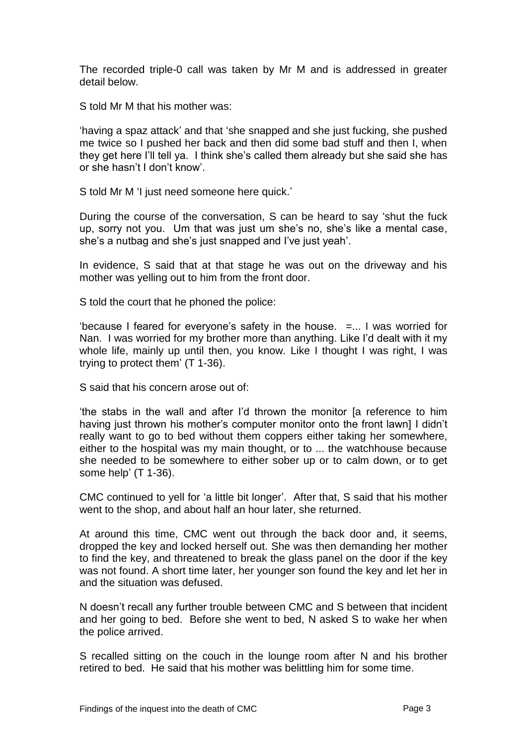The recorded triple-0 call was taken by Mr M and is addressed in greater detail below.

S told Mr M that his mother was:

'having a spaz attack' and that 'she snapped and she just fucking, she pushed me twice so I pushed her back and then did some bad stuff and then I, when they get here I'll tell ya. I think she's called them already but she said she has or she hasn't I don't know'.

S told Mr M 'I just need someone here quick.'

During the course of the conversation, S can be heard to say 'shut the fuck up, sorry not you. Um that was just um she's no, she's like a mental case, she's a nutbag and she's just snapped and I've just yeah'.

In evidence, S said that at that stage he was out on the driveway and his mother was yelling out to him from the front door.

S told the court that he phoned the police:

'because I feared for everyone's safety in the house. =... I was worried for Nan. I was worried for my brother more than anything. Like I'd dealt with it my whole life, mainly up until then, you know. Like I thought I was right, I was trying to protect them' (T 1-36).

S said that his concern arose out of:

'the stabs in the wall and after I'd thrown the monitor [a reference to him having just thrown his mother's computer monitor onto the front lawn] I didn't really want to go to bed without them coppers either taking her somewhere, either to the hospital was my main thought, or to ... the watchhouse because she needed to be somewhere to either sober up or to calm down, or to get some help' (T 1-36).

CMC continued to yell for 'a little bit longer'.After that, S said that his mother went to the shop, and about half an hour later, she returned.

At around this time, CMC went out through the back door and, it seems, dropped the key and locked herself out. She was then demanding her mother to find the key, and threatened to break the glass panel on the door if the key was not found. A short time later, her younger son found the key and let her in and the situation was defused.

N doesn't recall any further trouble between CMC and S between that incident and her going to bed. Before she went to bed, N asked S to wake her when the police arrived.

S recalled sitting on the couch in the lounge room after N and his brother retired to bed. He said that his mother was belittling him for some time.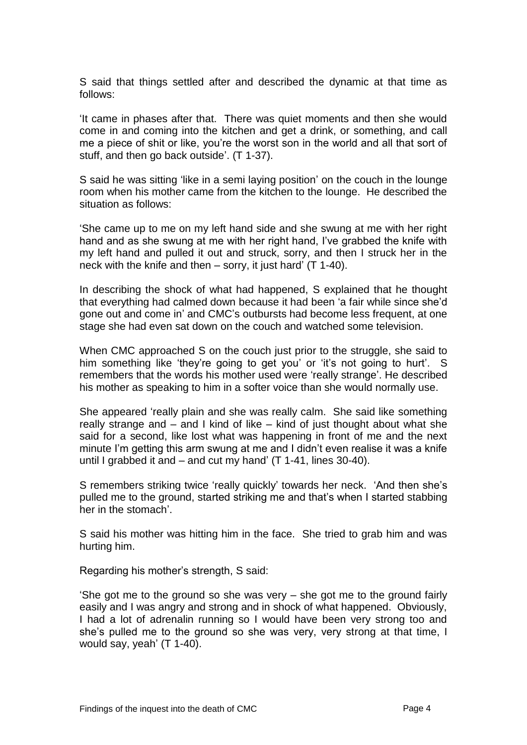S said that things settled after and described the dynamic at that time as follows:

'It came in phases after that. There was quiet moments and then she would come in and coming into the kitchen and get a drink, or something, and call me a piece of shit or like, you're the worst son in the world and all that sort of stuff, and then go back outside'. (T 1-37).

S said he was sitting 'like in a semi laving position' on the couch in the lounge room when his mother came from the kitchen to the lounge. He described the situation as follows:

'She came up to me on my left hand side and she swung at me with her right hand and as she swung at me with her right hand, I've grabbed the knife with my left hand and pulled it out and struck, sorry, and then I struck her in the neck with the knife and then – sorry, it just hard' (T 1-40).

In describing the shock of what had happened, S explained that he thought that everything had calmed down because it had been 'a fair while since she'd gone out and come in' and CMC's outbursts had become less frequent, at one stage she had even sat down on the couch and watched some television.

When CMC approached S on the couch just prior to the struggle, she said to him something like 'they're going to get you' or 'it's not going to hurt'.S remembers that the words his mother used were 'really strange'. He described his mother as speaking to him in a softer voice than she would normally use.

She appeared 'really plain and she was really calm. She said like something really strange and – and I kind of like – kind of just thought about what she said for a second, like lost what was happening in front of me and the next minute I'm getting this arm swung at me and I didn't even realise it was a knife until I grabbed it and – and cut my hand' (T 1-41, lines 30-40).

S remembers striking twice 'really quickly' towards her neck. 'And then she's pulled me to the ground, started striking me and that's when I started stabbing her in the stomach'.

S said his mother was hitting him in the face. She tried to grab him and was hurting him.

Regarding his mother's strength, S said:

'She got me to the ground so she was very – she got me to the ground fairly easily and I was angry and strong and in shock of what happened. Obviously, I had a lot of adrenalin running so I would have been very strong too and she's pulled me to the ground so she was very, very strong at that time, I would say, yeah' (T 1-40).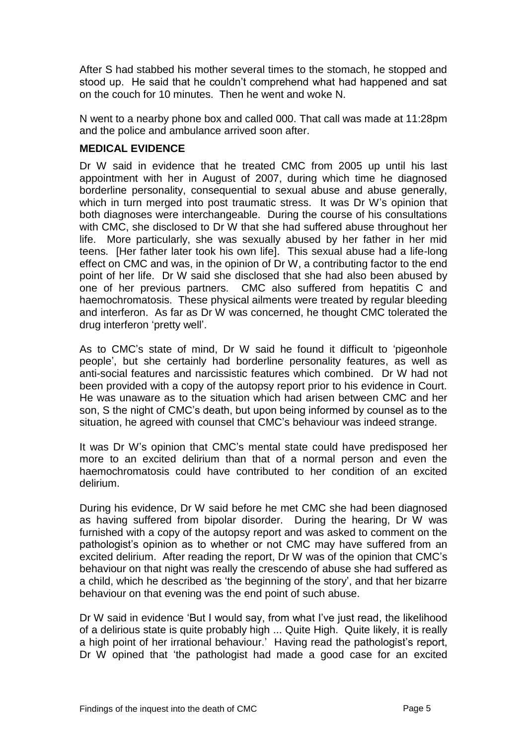After S had stabbed his mother several times to the stomach, he stopped and stood up. He said that he couldn't comprehend what had happened and sat on the couch for 10 minutes. Then he went and woke N.

N went to a nearby phone box and called 000. That call was made at 11:28pm and the police and ambulance arrived soon after.

#### **MEDICAL EVIDENCE**

Dr W said in evidence that he treated CMC from 2005 up until his last appointment with her in August of 2007, during which time he diagnosed borderline personality, consequential to sexual abuse and abuse generally, which in turn merged into post traumatic stress. It was Dr W's opinion that both diagnoses were interchangeable. During the course of his consultations with CMC, she disclosed to Dr W that she had suffered abuse throughout her life. More particularly, she was sexually abused by her father in her mid teens. [Her father later took his own life]. This sexual abuse had a life-long effect on CMC and was, in the opinion of Dr W, a contributing factor to the end point of her life. Dr W said she disclosed that she had also been abused by one of her previous partners. CMC also suffered from hepatitis C and haemochromatosis. These physical ailments were treated by regular bleeding and interferon. As far as Dr W was concerned, he thought CMC tolerated the drug interferon 'pretty well'.

As to CMC's state of mind, Dr W said he found it difficult to 'pigeonhole people', but she certainly had borderline personality features, as well as anti-social features and narcissistic features which combined. Dr W had not been provided with a copy of the autopsy report prior to his evidence in Court. He was unaware as to the situation which had arisen between CMC and her son, S the night of CMC's death, but upon being informed by counsel as to the situation, he agreed with counsel that CMC's behaviour was indeed strange.

It was Dr W's opinion that CMC's mental state could have predisposed her more to an excited delirium than that of a normal person and even the haemochromatosis could have contributed to her condition of an excited delirium.

During his evidence, Dr W said before he met CMC she had been diagnosed as having suffered from bipolar disorder. During the hearing, Dr W was furnished with a copy of the autopsy report and was asked to comment on the pathologist's opinion as to whether or not CMC may have suffered from an excited delirium. After reading the report, Dr W was of the opinion that CMC's behaviour on that night was really the crescendo of abuse she had suffered as a child, which he described as 'the beginning of the story', and that her bizarre behaviour on that evening was the end point of such abuse.

Dr W said in evidence 'But I would say, from what I've just read, the likelihood of a delirious state is quite probably high ... Quite High. Quite likely, it is really a high point of her irrational behaviour.' Having read the pathologist's report, Dr W opined that 'the pathologist had made a good case for an excited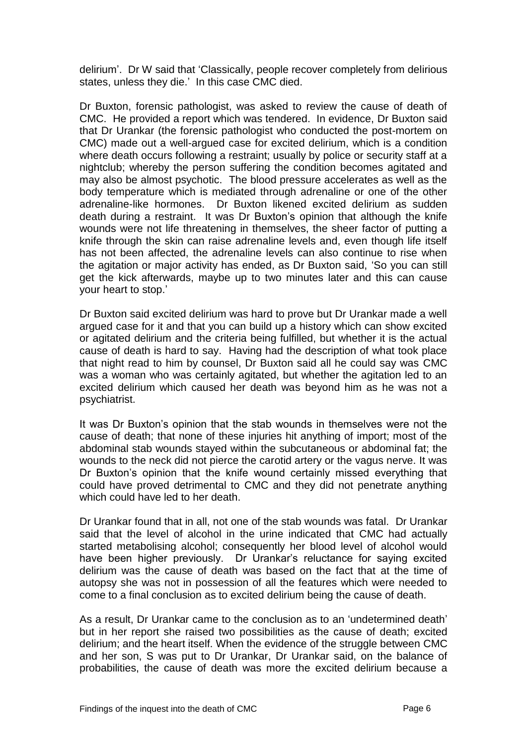delirium'. Dr W said that 'Classically, people recover completely from delirious states, unless they die.' In this case CMC died.

Dr Buxton, forensic pathologist, was asked to review the cause of death of CMC. He provided a report which was tendered. In evidence, Dr Buxton said that Dr Urankar (the forensic pathologist who conducted the post-mortem on CMC) made out a well-argued case for excited delirium, which is a condition where death occurs following a restraint; usually by police or security staff at a nightclub; whereby the person suffering the condition becomes agitated and may also be almost psychotic. The blood pressure accelerates as well as the body temperature which is mediated through adrenaline or one of the other adrenaline-like hormones. Dr Buxton likened excited delirium as sudden death during a restraint. It was Dr Buxton's opinion that although the knife wounds were not life threatening in themselves, the sheer factor of putting a knife through the skin can raise adrenaline levels and, even though life itself has not been affected, the adrenaline levels can also continue to rise when the agitation or major activity has ended, as Dr Buxton said, 'So you can still get the kick afterwards, maybe up to two minutes later and this can cause your heart to stop.'

Dr Buxton said excited delirium was hard to prove but Dr Urankar made a well argued case for it and that you can build up a history which can show excited or agitated delirium and the criteria being fulfilled, but whether it is the actual cause of death is hard to say. Having had the description of what took place that night read to him by counsel, Dr Buxton said all he could say was CMC was a woman who was certainly agitated, but whether the agitation led to an excited delirium which caused her death was beyond him as he was not a psychiatrist.

It was Dr Buxton's opinion that the stab wounds in themselves were not the cause of death; that none of these injuries hit anything of import; most of the abdominal stab wounds stayed within the subcutaneous or abdominal fat; the wounds to the neck did not pierce the carotid artery or the vagus nerve. It was Dr Buxton's opinion that the knife wound certainly missed everything that could have proved detrimental to CMC and they did not penetrate anything which could have led to her death.

Dr Urankar found that in all, not one of the stab wounds was fatal. Dr Urankar said that the level of alcohol in the urine indicated that CMC had actually started metabolising alcohol; consequently her blood level of alcohol would have been higher previously. Dr Urankar's reluctance for saying excited delirium was the cause of death was based on the fact that at the time of autopsy she was not in possession of all the features which were needed to come to a final conclusion as to excited delirium being the cause of death.

As a result, Dr Urankar came to the conclusion as to an 'undetermined death' but in her report she raised two possibilities as the cause of death; excited delirium; and the heart itself. When the evidence of the struggle between CMC and her son, S was put to Dr Urankar, Dr Urankar said, on the balance of probabilities, the cause of death was more the excited delirium because a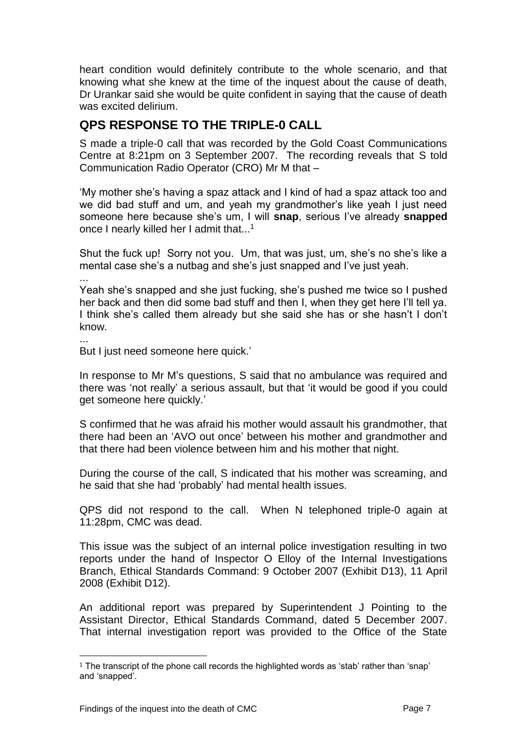heart condition would definitely contribute to the whole scenario, and that knowing what she knew at the time of the inquest about the cause of death, Dr Urankar said she would be quite confident in saying that the cause of death was excited delirium.

## **QPS RESPONSE TO THE TRIPLE-0 CALL**

S made a triple-0 call that was recorded by the Gold Coast Communications Centre at 8:21pm on 3 September 2007. The recording reveals that S told Communication Radio Operator (CRO) Mr M that –

'My mother she's having a spaz attack and I kind of had a spaz attack too and we did bad stuff and um, and yeah my grandmother's like yeah I just need someone here because she's um, I will **snap**, serious I've already **snapped** once I nearly killed her I admit that...<sup>1</sup>

Shut the fuck up! Sorry not you. Um, that was just, um, she's no she's like a mental case she's a nutbag and she's just snapped and I've just yeah.

...

l

Yeah she's snapped and she just fucking, she's pushed me twice so I pushed her back and then did some bad stuff and then I, when they get here I'll tell ya. I think she's called them already but she said she has or she hasn't I don't know.

... But I just need someone here quick.'

In response to Mr M's questions, S said that no ambulance was required and there was 'not really' a serious assault, but that 'it would be good if you could get someone here quickly.'

S confirmed that he was afraid his mother would assault his grandmother, that there had been an 'AVO out once' between his mother and grandmother and that there had been violence between him and his mother that night.

During the course of the call, S indicated that his mother was screaming, and he said that she had 'probably' had mental health issues.

QPS did not respond to the call. When N telephoned triple-0 again at 11:28pm, CMC was dead.

This issue was the subject of an internal police investigation resulting in two reports under the hand of Inspector O Elloy of the Internal Investigations Branch, Ethical Standards Command: 9 October 2007 (Exhibit D13), 11 April 2008 (Exhibit D12).

An additional report was prepared by Superintendent J Pointing to the Assistant Director, Ethical Standards Command, dated 5 December 2007. That internal investigation report was provided to the Office of the State

<sup>1</sup> The transcript of the phone call records the highlighted words as 'stab' rather than 'snap' and 'snapped'.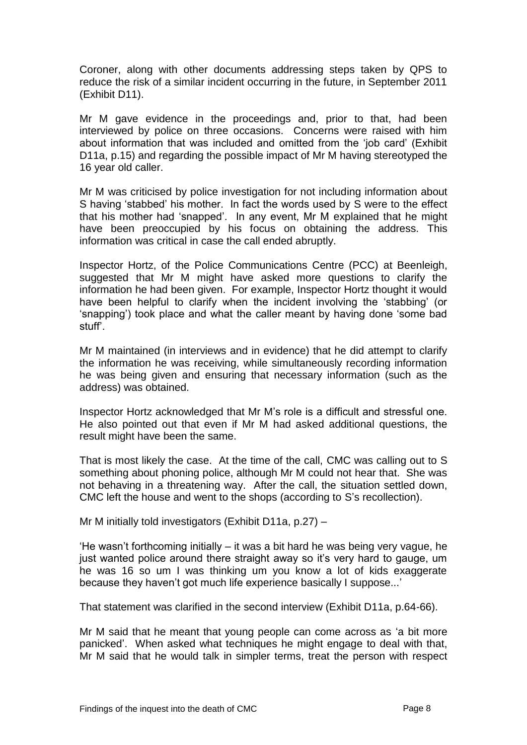Coroner, along with other documents addressing steps taken by QPS to reduce the risk of a similar incident occurring in the future, in September 2011 (Exhibit D11).

Mr M gave evidence in the proceedings and, prior to that, had been interviewed by police on three occasions. Concerns were raised with him about information that was included and omitted from the 'job card' (Exhibit D11a, p.15) and regarding the possible impact of Mr M having stereotyped the 16 year old caller.

Mr M was criticised by police investigation for not including information about S having 'stabbed' his mother. In fact the words used by S were to the effect that his mother had 'snapped'. In any event, Mr M explained that he might have been preoccupied by his focus on obtaining the address. This information was critical in case the call ended abruptly.

Inspector Hortz, of the Police Communications Centre (PCC) at Beenleigh, suggested that Mr M might have asked more questions to clarify the information he had been given. For example, Inspector Hortz thought it would have been helpful to clarify when the incident involving the 'stabbing' (or 'snapping') took place and what the caller meant by having done 'some bad stuff'.

Mr M maintained (in interviews and in evidence) that he did attempt to clarify the information he was receiving, while simultaneously recording information he was being given and ensuring that necessary information (such as the address) was obtained.

Inspector Hortz acknowledged that Mr M's role is a difficult and stressful one. He also pointed out that even if Mr M had asked additional questions, the result might have been the same.

That is most likely the case. At the time of the call, CMC was calling out to S something about phoning police, although Mr M could not hear that. She was not behaving in a threatening way. After the call, the situation settled down, CMC left the house and went to the shops (according to S's recollection).

Mr M initially told investigators (Exhibit D11a, p.27) –

'He wasn't forthcoming initially – it was a bit hard he was being very vague, he just wanted police around there straight away so it's very hard to gauge, um he was 16 so um I was thinking um you know a lot of kids exaggerate because they haven't got much life experience basically I suppose...'

That statement was clarified in the second interview (Exhibit D11a, p.64-66).

Mr M said that he meant that young people can come across as 'a bit more panicked'.When asked what techniques he might engage to deal with that, Mr M said that he would talk in simpler terms, treat the person with respect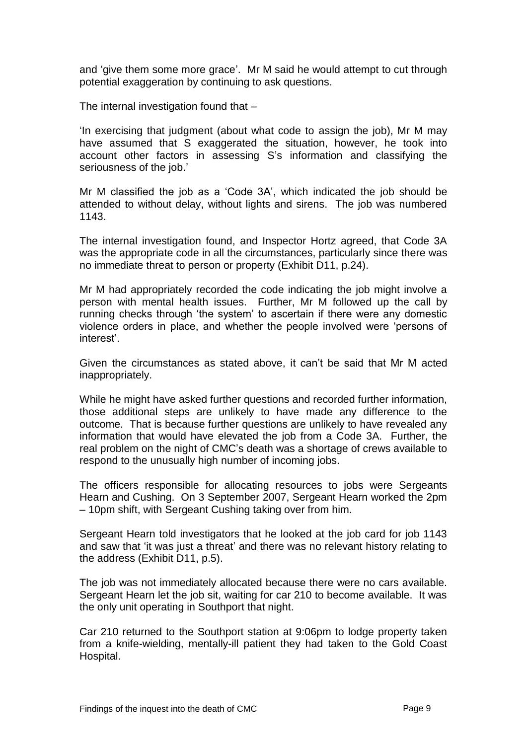and 'give them some more grace'. Mr M said he would attempt to cut through potential exaggeration by continuing to ask questions.

The internal investigation found that –

'In exercising that judgment (about what code to assign the job), Mr M may have assumed that S exaggerated the situation, however, he took into account other factors in assessing S's information and classifying the seriousness of the job.'

Mr M classified the job as a 'Code 3A', which indicated the job should be attended to without delay, without lights and sirens. The job was numbered 1143.

The internal investigation found, and Inspector Hortz agreed, that Code 3A was the appropriate code in all the circumstances, particularly since there was no immediate threat to person or property (Exhibit D11, p.24).

Mr M had appropriately recorded the code indicating the job might involve a person with mental health issues. Further, Mr M followed up the call by running checks through 'the system' to ascertain if there were any domestic violence orders in place, and whether the people involved were 'persons of interest'.

Given the circumstances as stated above, it can't be said that Mr M acted inappropriately.

While he might have asked further questions and recorded further information, those additional steps are unlikely to have made any difference to the outcome. That is because further questions are unlikely to have revealed any information that would have elevated the job from a Code 3A. Further, the real problem on the night of CMC's death was a shortage of crews available to respond to the unusually high number of incoming jobs.

The officers responsible for allocating resources to jobs were Sergeants Hearn and Cushing. On 3 September 2007, Sergeant Hearn worked the 2pm – 10pm shift, with Sergeant Cushing taking over from him.

Sergeant Hearn told investigators that he looked at the job card for job 1143 and saw that 'it was just a threat' and there was no relevant history relating to the address (Exhibit D11, p.5).

The job was not immediately allocated because there were no cars available. Sergeant Hearn let the job sit, waiting for car 210 to become available. It was the only unit operating in Southport that night.

Car 210 returned to the Southport station at 9:06pm to lodge property taken from a knife-wielding, mentally-ill patient they had taken to the Gold Coast Hospital.